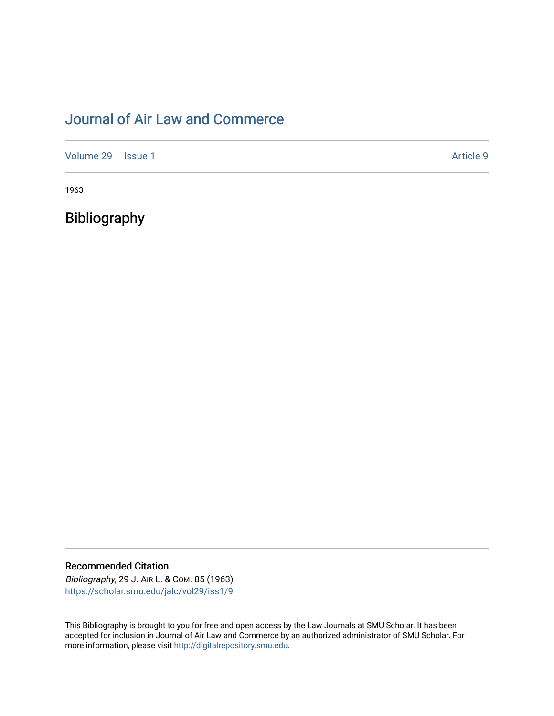# [Journal of Air Law and Commerce](https://scholar.smu.edu/jalc)

[Volume 29](https://scholar.smu.edu/jalc/vol29) | [Issue 1](https://scholar.smu.edu/jalc/vol29/iss1) Article 9

1963

Bibliography

Recommended Citation

Bibliography, 29 J. AIR L. & COM. 85 (1963) [https://scholar.smu.edu/jalc/vol29/iss1/9](https://scholar.smu.edu/jalc/vol29/iss1/9?utm_source=scholar.smu.edu%2Fjalc%2Fvol29%2Fiss1%2F9&utm_medium=PDF&utm_campaign=PDFCoverPages) 

This Bibliography is brought to you for free and open access by the Law Journals at SMU Scholar. It has been accepted for inclusion in Journal of Air Law and Commerce by an authorized administrator of SMU Scholar. For more information, please visit [http://digitalrepository.smu.edu](http://digitalrepository.smu.edu/).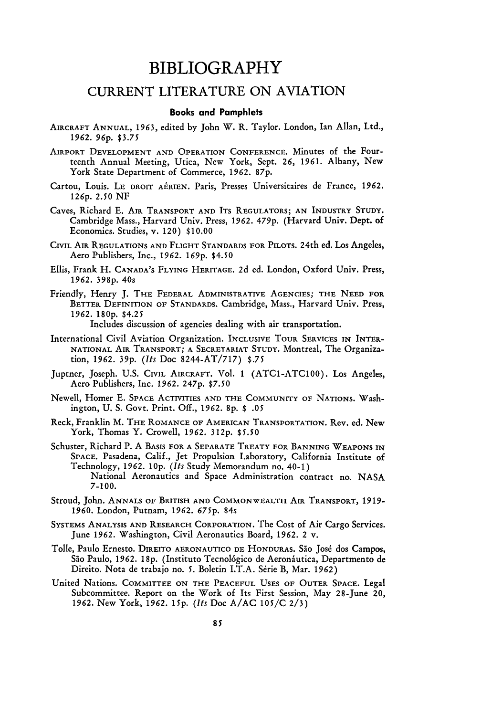## **BIBLIOGRAPHY**

### CURRENT LITERATURE ON AVIATION

#### **Books and Pamphlets**

- AIRCRAFT ANNUAL, **1963,** edited by John W. R. Taylor. London, Ian Allan, Ltd., **1962. 96p.** \$3.75
- AIRPORT DEVELOPMENT **AND** OPERATION CONFERENCE. Minutes of the Fourteenth Annual Meeting, Utica, New York, Sept. **26,** 1961. Albany, New York State Department of Commerce, 1962. 87p.
- Cartou, Louis. **LE** DROIT AERIEN. Paris, Presses Universitaires de France, **1962.** 126p. 2.50 **NF**
- Caves, Richard E. AIR TRANSPORT AND ITS REGULATORS; AN INDUSTRY STUDY. Cambridge Mass., Harvard Univ. Press, *1962.* 479p. (Harvard Univ. Dept. of Economics. Studies, v. 120) \$10.00
- CIVIL AIR REGULATIONS AND FLIGHT STANDARDS FOR PILOTS. 24th ed. Los Angeles, Aero Publishers, Inc., *1962. 169p.* \$4.50
- Ellis, Frank H. CANADA'S FLYING HERITAGE. 2d ed. London, Oxford Univ. Press, *1962.* **398p.** 40s
- Friendly, Henry **J.** THE FEDERAL ADMINISTRATIVE AGENCIES; THE NEED FOR BETTER DEFINITION OF STANDARDS. Cambridge, Mass., Harvard Univ. Press, *1962.* **180p.** \$4.25

Includes discussion of agencies dealing with air transportation.

- International Civil Aviation Organization. INCLUSIVE TOUR SERVICES IN INTER-NATIONAL AIR TRANSPORT; A SECRETARIAT STUDY. Montreal, The Organization, 1962. 39p. *(Its* Doc 8244-AT/717) **\$.75**
- Juptner, Joseph. U.S. CIVIL AIRCRAFT. **Vol.** 1 (ATC1-ATC100). Los Angeles, Aero Publishers, Inc. 1962. **247p. \$7.50**
- Newell, Homer **E.** SPACE ACTIVITIES AND THE COMMUNITY OF NATIONS. Washington, **U. S.** Govt. Print. Off., 1962. **8p.** \$ *.05*
- Reck, Franklin M. THE ROMANCE OF AMERICAN TRANSPORTATION. Rev. ed. New York, Thomas Y. Crowell, 1962. 312p. \$5.50
- Schuster, Richard P. A BASIS FOR A SEPARATE TREATY FOR BANNING WEAPONS IN SPACE. Pasadena, Calif., Jet Propulsion Laboratory, California Institute of Technology, 1962. *10p. (Its* Study Memorandum no. 40-1) National Aeronautics and Space Administration contract no. NASA 7-100.
- Stroud, John. ANNALS OF BRITISH **AND** COMMONWEALTH AIR TRANSPORT, 1919- 1960. London, Putnam, 1962. *675p.* 84s
- SYSTEMS ANALYSIS **AND** RESEARCH CORPORATION. The Cost of Air Cargo Services. June 1962. Washington, Civil Aeronautics Board, 1962. 2 v.
- Tolle, Paulo Ernesto. DIREITO AERONAUTICO DE HONDURAS. Sio Jos6 dos Campos, São Paulo, 1962. 18p. (Instituto Tecnológico de Aeronáutica, Departmento de Direito. Nota de trabajo no. 5. Boletin I.T.A. Série B, Mar. 1962)
- United Nations. COMMITTEE ON THE PEACEFUL **USES** OF OUTER SPACE. Legal Subcommittee. Report on the Work of Its First Session, May 28-June 20, **1962.** New York, *1962. 15p. (Its* Doc A/AC 105/C 2/3)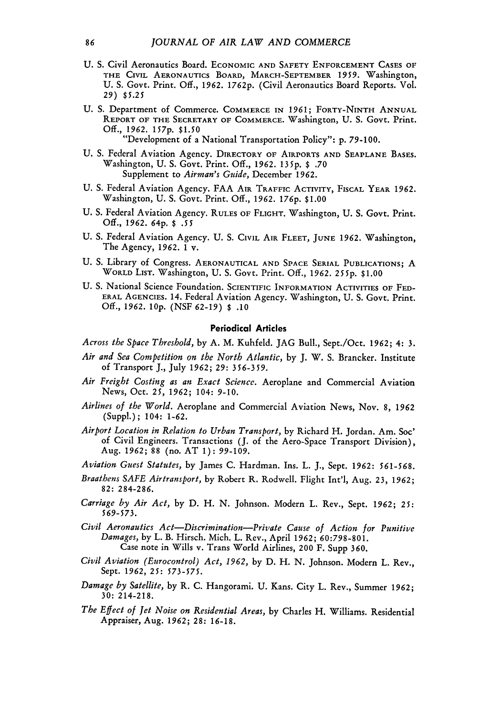- **U. S.** Civil Aeronautics Board. **ECONOMIC AND SAFETY ENFORCEMENT CASES OF THE CIVIL** AERONAUTICS BOARD, MARCH-SEPTEMBER 1959. Washington, **U.** S. Govt. Print. **Off.,** 1962. 1762p. (Civil Aeronautics Board Reports. Vol. *29) \$5.25*
- **U.** S. Department of Commerce. COMMERCE **IN** *1961;* **FORTY-NINTH ANNUAL REPORT** OF **THE** SECRETARY **OF COMMERCE.** Washington, **U.** S. Govt. Print. **Off.,** *1962. 157p.* \$1.50 "Development of a National Transportation Policy": p. **79-100.**
- **U.** S. Federal Aviation Agency. **DIRECTORY** OF AIRPORTS **AND SEAPLANE BASES.** Washington, **U.** S. Govt. Print. **Off.,** 1962. **135p. \$ .70** Supplement **to** *Airman's Guide,* December 1962.
- **U.** S. Federal Aviation Agency. FAA **AIR TRAFFIC** ACTIVITY, **FISCAL YEAR** 1962. Washington, **U.** S. Govt. Print. **Off.,** *1962.* 176p. **\$1.00**
- **U.** S. Federal Aviation Agency. **RULES** OF FLIGHT. Washington, **U.** S. Govt. Print. **Off.,** *1962.* 64p. **\$** *.55*
- **U.** S. Federal Aviation Agency. **U.** S. CIVIL **AIR FLEET, JUNE** 1962. Washington, The Agency, 1962.  $\tilde{1}$  v.
- **U.** S. Library of Congress. **AERONAUTICAL AND SPACE** SERIAL **PUBLICATIONS;** A **WORLD LIST.** Washington, **U.** S. Govt. Print. **Off.,** *1962. 255p.* **\$1.00**
- **U.** S. National Science Foundation. **SCIENTIFIC** INFORMATION **ACTIVITIES** OF **FED-**ERAL **AGENCIES.** 14. Federal Aviation Agency. Washington, **U.** S. Govt. Print. **Off.,** *1962.* **10p.** (NSF 62-19) **\$** .10

#### **Periodical Articles**

*Across the Space Threshold,* by **A.** M. Kuhfeld. JAG Bull., Sept./Oct. 1962; 4: **3.**

- *Air and Sea Competition on the North Atlantic,* by J. W. S. Brancker. Institute of Transport J., July **1962;** *29: 356-359.*
- *Air Freight Costing as an Exact Science.* Aeroplane and Commercial Aviation News, Oct. **25, 1962;** 104: **9-10.**
- *Airlines of the World.* Aeroplane and Commercial Aviation News, Nov. 8, *1962* (Suppl.); 104: 1-62.
- *Airport Location in Relation to Urban Transport,* by Richard H. Jordan. Am. **Soc'** of Civil Engineers. Transactions (J. of the Aero-Space Transport Division), Aug. **1962;** 88 (no. AT **1):** *99-109.*

*Aviation Guest Statutes,* by James C. Hardman. Ins. L. J., Sept. **1962: 561-568.**

- *Braathens SAFE Airtransport,* by Robert R. Rodwell. Flight Int'l, Aug. 23, **1962; 82:** 284-286.
- *Carriage by Air Act,* by D. H. N. Johnson. Modern L. Rev., Sept. *1962;* 25: *569-573.*
- *Civil Aeronautics Act-Discrimination-Private Cause of Action for Punitive Damages,* by L. B. Hirsch. Mich. L. Rev., April **1962;** 60:798-801. Case note in Wills v. Trans World Airlines, **200** F. Supp 360.
- *Civil Aviation (Eurocontrol) Act, 1962,* by D. H. N. Johnson. Modern L. Rev., Sept. **1962, 25:** *573-575.*
- *Damage by Satellite,* by R. **C.** Hangorami. **U.** Kans. City L. Rev., Summer **1962; 30:** 214-218.
- *The Effect of Jet Noise on Residential Areas,* **by** Charles H. Williams. Residential Appraiser, Aug. **1962; 28: 16-18.**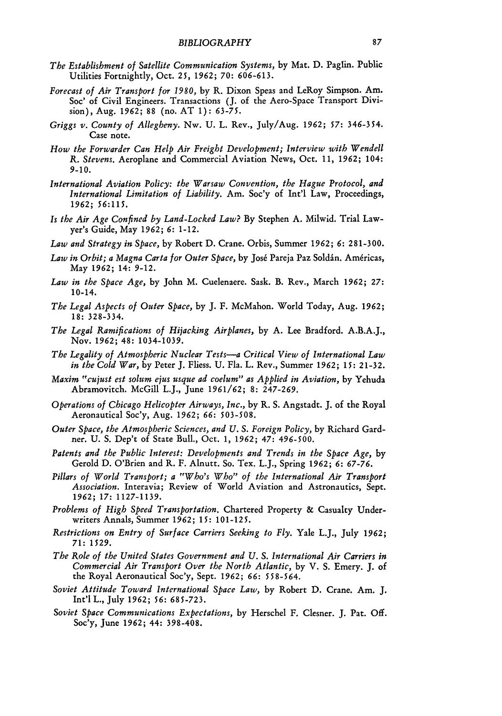- *The Establishment of Satellite Communication Systems,* by Mat. **D.** Paglin. Public Utilities Fortnightly, Oct. **25, 1962; 70: 606-613.**
- *Forecast of Air Transport for 1980,* by R. Dixon Speas and LeRoy Simpson. Am. Soc' of Civil Engineers. Transactions (J. of the Aero-Space Transport Division), Aug. **1962;** 88 (no. **AT 1):** 63-75.
- *Griggs v. County of Allegheny.* Nw. **U.** L. Rev., July/Aug. **1962;** *57:* 346-354. Case note.
- *How the Forwarder Can Help Air Freight Development; Interview with Wendell R. Stevens.* Aeroplane and Commercial Aviation News, Oct. 11, **1962;** 104: **9-10.**
- *International Aviation Policy: the Warsaw Convention, the Hague Protocol, and International Limitation of Liability.* Am. Soc'y of Int'l Law, Proceedings, **1962; 56:115.**
- *Is the Air Age Confined by Land-Locked Law?* By Stephen A. Milwid. Trial Lawyer's Guide, May **1962; 6:** 1-12.
- *Law and Strategy in Space,* by Robert D. Crane. Orbis, Summer **1962;** *6:* 281-300.
- Law in Orbit; a Magna Carta for Outer Space, by José Pareja Paz Soldán. Américas, May **1962;** 14: 9-12.
- *Law in the Space Age,* by John M. Cuelenaere. Sask. B. Rev., March **1962; 27:** 10-14.
- *The Legal Aspects of Outer Space,* by J. F. McMahon. World Today, Aug. **1962; 18:** 328-334.
- *The Legal Ramifications of Hijacking Airplanes,* by A. Lee Bradford. A.B.A.J., Nov. **1962;** 48: 1034-1039.
- *The Legality of Atmospheric Nuclear Tests-a Critical View of International Law in the Cold War,* by Peter J. Fliess. **U.** Fla. L. Rev., Summer **1962;** *15:* 21-32.
- *Maxim "cujust est solum ejus usque ad coelum" as Applied in Aviation,* by Yehuda Abramovitch. McGill L.J., June **1961/62; 8:** 247-269.
- *Operations of Chicago Helicopter Airways, Inc.,* by R. S. Angstadt. J. of the Royal Aeronautical Soc'y, Aug. **1962; 66:** 503-508.
- *Outer Space, the Atmospheric Sciences, and U. S. Foreign Policy,* by Richard Gardner. **U.** S. Dep't of State Bull., Oct. 1, **1962;** *47:* **496-500.**
- *Patents and the Public Interest: Developments and Trends in the Space Age,* by Gerold D. O'Brien and R. F. Alnutt. So. Tex. L.J., Spring **1962; 6:** *67-76.*
- *Pillars of World Transport; a "Who's Who" of the International Air Transport Association.* Interavia; Review of World Aviation and Astronautics, Sept. *1962; 17:* 1127-1139.
- *Problems of High Speed Transportation.* Chartered Property **&** Casualty Underwriters Annals, Summer *1962; 15:* 101-125.
- *Restrictions on Entry of Surface Carriers Seeking to Fly.* Yale L.J., July *1962;* 71: *1529.*
- *The Role of the United States Government and U. S. International Air Carriers in Commercial Air Transport Over the North Atlantic,* by V. S. Emery. J. of the Royal Aeronautical Soc'y, Sept. **1962;** *66:* **558-564.**
- *Soviet Attitude Toward International Space Law,* by Robert D. Crane. Am. J. Int'l L., July 1962; **56:** 685-723.
- *Soviet Space Communications Expectations,* by Herschel F. Clesner. J. Pat. Off. Soc'y, June **1962;** 44: 398-408.